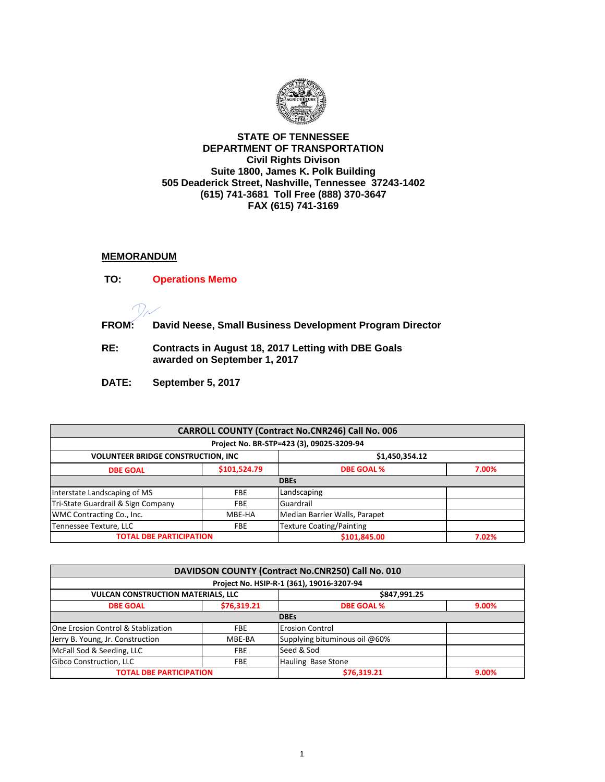

## **STATE OF TENNESSEE DEPARTMENT OF TRANSPORTATION Civil Rights Divison Suite 1800, James K. Polk Building 505 Deaderick Street, Nashville, Tennessee 37243-1402 (615) 741-3681 Toll Free (888) 370-3647 FAX (615) 741-3169**

## **MEMORANDUM**

- **TO: Operations Memo**   $\sqrt{}$ **FROM: David Neese, Small Business Development Program Director**
- **RE: Contracts in August 18, 2017 Letting with DBE Goals awarded on September 1, 2017**
- **DATE: September 5, 2017**

| <b>CARROLL COUNTY (Contract No.CNR246) Call No. 006</b>      |              |                                 |       |  |  |
|--------------------------------------------------------------|--------------|---------------------------------|-------|--|--|
| Project No. BR-STP=423 (3), 09025-3209-94                    |              |                                 |       |  |  |
| \$1,450,354.12<br><b>VOLUNTEER BRIDGE CONSTRUCTION, INC.</b> |              |                                 |       |  |  |
| <b>DBE GOAL</b>                                              | \$101,524.79 | <b>DBE GOAL %</b>               | 7.00% |  |  |
|                                                              | <b>DBEs</b>  |                                 |       |  |  |
| Interstate Landscaping of MS                                 | <b>FBE</b>   | Landscaping                     |       |  |  |
| Tri-State Guardrail & Sign Company                           | <b>FBE</b>   | Guardrail                       |       |  |  |
| WMC Contracting Co., Inc.                                    | MBE-HA       | Median Barrier Walls, Parapet   |       |  |  |
| Tennessee Texture, LLC                                       | <b>FBE</b>   | <b>Texture Coating/Painting</b> |       |  |  |
| <b>TOTAL DBE PARTICIPATION</b>                               |              | \$101,845.00                    | 7.02% |  |  |

| DAVIDSON COUNTY (Contract No.CNR250) Call No. 010 |                                  |                                           |       |  |
|---------------------------------------------------|----------------------------------|-------------------------------------------|-------|--|
|                                                   |                                  | Project No. HSIP-R-1 (361), 19016-3207-94 |       |  |
| <b>VULCAN CONSTRUCTION MATERIALS, LLC</b>         |                                  | \$847,991.25                              |       |  |
| <b>DBE GOAL</b>                                   | \$76,319.21<br><b>DBE GOAL %</b> |                                           | 9.00% |  |
|                                                   |                                  | <b>DBEs</b>                               |       |  |
| One Erosion Control & Stablization                | <b>FBE</b>                       | <b>Erosion Control</b>                    |       |  |
| Jerry B. Young, Jr. Construction                  | MBE-BA                           | Supplying bituminous oil @60%             |       |  |
| McFall Sod & Seeding, LLC                         | <b>FBE</b>                       | Seed & Sod                                |       |  |
| Gibco Construction, LLC                           | <b>FBE</b>                       | Hauling Base Stone                        |       |  |
| <b>TOTAL DBE PARTICIPATION</b>                    |                                  | \$76.319.21                               | 9.00% |  |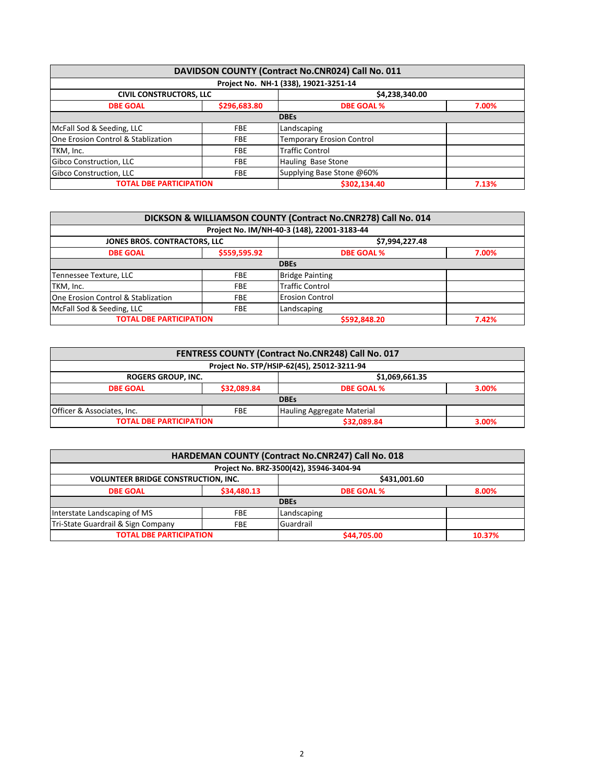|                                    |              | DAVIDSON COUNTY (Contract No.CNR024) Call No. 011 |       |
|------------------------------------|--------------|---------------------------------------------------|-------|
|                                    |              | Project No. NH-1 (338), 19021-3251-14             |       |
| <b>CIVIL CONSTRUCTORS, LLC</b>     |              | \$4,238,340.00                                    |       |
| <b>DBE GOAL</b>                    | \$296,683.80 | <b>DBE GOAL %</b>                                 | 7.00% |
|                                    |              | <b>DBEs</b>                                       |       |
| McFall Sod & Seeding, LLC          | <b>FBE</b>   | Landscaping                                       |       |
| One Erosion Control & Stablization | <b>FBE</b>   | <b>Temporary Erosion Control</b>                  |       |
| TKM, Inc.                          | <b>FBE</b>   | <b>Traffic Control</b>                            |       |
| Gibco Construction, LLC            | <b>FBE</b>   | Hauling Base Stone                                |       |
| Gibco Construction, LLC            | <b>FBE</b>   | Supplying Base Stone @60%                         |       |
| <b>TOTAL DBE PARTICIPATION</b>     |              | \$302.134.40                                      | 7.13% |

| DICKSON & WILLIAMSON COUNTY (Contract No.CNR278) Call No. 014 |              |                                             |       |  |
|---------------------------------------------------------------|--------------|---------------------------------------------|-------|--|
|                                                               |              | Project No. IM/NH-40-3 (148), 22001-3183-44 |       |  |
| \$7,994,227.48<br><b>JONES BROS. CONTRACTORS, LLC</b>         |              |                                             |       |  |
| <b>DBE GOAL</b>                                               | \$559,595.92 | <b>DBE GOAL %</b>                           | 7.00% |  |
|                                                               |              | <b>DBEs</b>                                 |       |  |
| Tennessee Texture, LLC                                        | <b>FBE</b>   | <b>Bridge Painting</b>                      |       |  |
| TKM, Inc.                                                     | <b>FBE</b>   | <b>Traffic Control</b>                      |       |  |
| One Erosion Control & Stablization                            | FBE          | <b>Erosion Control</b>                      |       |  |
| McFall Sod & Seeding, LLC                                     | <b>FBE</b>   | Landscaping                                 |       |  |
| <b>TOTAL DBE PARTICIPATION</b>                                |              | \$592,848.20                                | 7.42% |  |

| FENTRESS COUNTY (Contract No.CNR248) Call No. 017                      |             |                            |       |  |
|------------------------------------------------------------------------|-------------|----------------------------|-------|--|
| Project No. STP/HSIP-62(45), 25012-3211-94                             |             |                            |       |  |
| \$1,069,661.35<br>ROGERS GROUP, INC.                                   |             |                            |       |  |
| <b>DBE GOAL</b>                                                        | \$32,089.84 | <b>DBE GOAL %</b><br>3.00% |       |  |
| <b>DBEs</b>                                                            |             |                            |       |  |
| Officer & Associates, Inc.<br>Hauling Aggregate Material<br><b>FBE</b> |             |                            |       |  |
| <b>TOTAL DBE PARTICIPATION</b>                                         |             | \$32,089.84                | 3.00% |  |

| HARDEMAN COUNTY (Contract No.CNR247) Call No. 018          |            |             |        |  |
|------------------------------------------------------------|------------|-------------|--------|--|
| Project No. BRZ-3500(42), 35946-3404-94                    |            |             |        |  |
| <b>VOLUNTEER BRIDGE CONSTRUCTION, INC.</b><br>\$431,001.60 |            |             |        |  |
| \$34,480.13<br><b>DBE GOAL %</b><br><b>DBE GOAL</b>        |            |             | 8.00%  |  |
|                                                            |            | <b>DBEs</b> |        |  |
| Interstate Landscaping of MS                               | <b>FBE</b> | Landscaping |        |  |
| Tri-State Guardrail & Sign Company                         | FBE        | Guardrail   |        |  |
| <b>TOTAL DBE PARTICIPATION</b>                             |            | \$44,705.00 | 10.37% |  |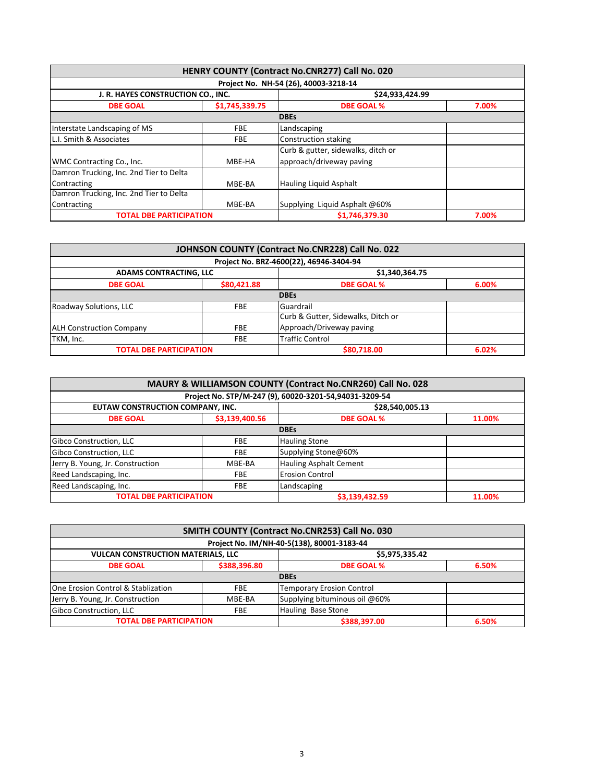| HENRY COUNTY (Contract No.CNR277) Call No. 020        |                |                                       |       |  |
|-------------------------------------------------------|----------------|---------------------------------------|-------|--|
|                                                       |                | Project No. NH-54 (26), 40003-3218-14 |       |  |
| \$24,933,424.99<br>J. R. HAYES CONSTRUCTION CO., INC. |                |                                       |       |  |
| <b>DBE GOAL</b>                                       | \$1,745,339.75 | <b>DBE GOAL %</b>                     | 7.00% |  |
|                                                       |                | <b>DBEs</b>                           |       |  |
| Interstate Landscaping of MS                          | <b>FBE</b>     | Landscaping                           |       |  |
| L.I. Smith & Associates                               | <b>FBE</b>     | Construction staking                  |       |  |
|                                                       |                | Curb & gutter, sidewalks, ditch or    |       |  |
| WMC Contracting Co., Inc.                             | MBE-HA         | approach/driveway paving              |       |  |
| Damron Trucking, Inc. 2nd Tier to Delta               |                |                                       |       |  |
| Contracting                                           | MBE-BA         | <b>Hauling Liquid Asphalt</b>         |       |  |
| Damron Trucking, Inc. 2nd Tier to Delta               |                |                                       |       |  |
| Contracting                                           | MBE-BA         | Supplying Liquid Asphalt @60%         |       |  |
| <b>TOTAL DBE PARTICIPATION</b>                        |                | \$1.746.379.30                        | 7.00% |  |

|                                 |             | JOHNSON COUNTY (Contract No.CNR228) Call No. 022 |       |
|---------------------------------|-------------|--------------------------------------------------|-------|
|                                 |             | Project No. BRZ-4600(22), 46946-3404-94          |       |
| <b>ADAMS CONTRACTING, LLC</b>   |             | \$1,340,364.75                                   |       |
| <b>DBE GOAL</b>                 | \$80,421.88 | <b>DBE GOAL %</b>                                | 6.00% |
|                                 |             | <b>DBEs</b>                                      |       |
| Roadway Solutions, LLC          | <b>FBE</b>  | Guardrail                                        |       |
|                                 |             | Curb & Gutter, Sidewalks, Ditch or               |       |
| <b>ALH Construction Company</b> | <b>FBE</b>  | Approach/Driveway paving                         |       |
| TKM, Inc.                       | <b>FBE</b>  | <b>Traffic Control</b>                           |       |
| <b>TOTAL DBE PARTICIPATION</b>  |             | \$80.718.00                                      | 6.02% |

| MAURY & WILLIAMSON COUNTY (Contract No.CNR260) Call No. 028 |                                                     |                                                        |        |  |  |
|-------------------------------------------------------------|-----------------------------------------------------|--------------------------------------------------------|--------|--|--|
|                                                             |                                                     | Project No. STP/M-247 (9), 60020-3201-54,94031-3209-54 |        |  |  |
|                                                             | EUTAW CONSTRUCTION COMPANY, INC.<br>\$28,540,005.13 |                                                        |        |  |  |
| <b>DBE GOAL</b>                                             | \$3,139,400.56                                      | <b>DBE GOAL %</b>                                      | 11.00% |  |  |
| <b>DBEs</b>                                                 |                                                     |                                                        |        |  |  |
| Gibco Construction, LLC                                     | <b>FBE</b>                                          | <b>Hauling Stone</b>                                   |        |  |  |
| Gibco Construction, LLC                                     | <b>FBE</b>                                          | Supplying Stone@60%                                    |        |  |  |
| Jerry B. Young, Jr. Construction                            | MBE-BA                                              | <b>Hauling Asphalt Cement</b>                          |        |  |  |
| Reed Landscaping, Inc.                                      | <b>FBE</b>                                          | <b>Erosion Control</b>                                 |        |  |  |
| Reed Landscaping, Inc.                                      | <b>FBE</b>                                          | Landscaping                                            |        |  |  |
| <b>TOTAL DBE PARTICIPATION</b>                              |                                                     | \$3,139,432.59                                         | 11.00% |  |  |

| SMITH COUNTY (Contract No.CNR253) Call No. 030       |            |                                            |       |  |
|------------------------------------------------------|------------|--------------------------------------------|-------|--|
|                                                      |            | Project No. IM/NH-40-5(138), 80001-3183-44 |       |  |
| <b>VULCAN CONSTRUCTION MATERIALS, LLC</b>            |            | \$5,975,335.42                             |       |  |
| \$388,396.80<br><b>DBE GOAL</b><br><b>DBE GOAL %</b> |            | 6.50%                                      |       |  |
|                                                      |            | <b>DBEs</b>                                |       |  |
| One Erosion Control & Stablization                   | <b>FBE</b> | <b>Temporary Erosion Control</b>           |       |  |
| Jerry B. Young, Jr. Construction                     | MBE-BA     | Supplying bituminous oil @60%              |       |  |
| Gibco Construction, LLC                              | <b>FBE</b> | Hauling Base Stone                         |       |  |
| <b>TOTAL DBE PARTICIPATION</b>                       |            | \$388,397.00                               | 6.50% |  |